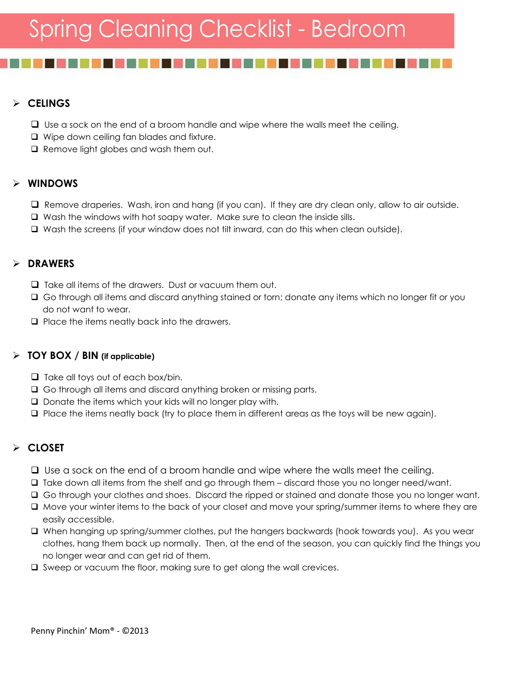## **CELINGS**

- $\Box$  Use a sock on the end of a broom handle and wipe where the walls meet the ceiling.
- □ Wipe down ceiling fan blades and fixture.
- $\Box$  Remove light globes and wash them out.

## **WINDOWS**

- $\Box$  Remove draperies. Wash, iron and hang (if you can). If they are dry clean only, allow to air outside.
- Wash the windows with hot soapy water. Make sure to clean the inside sills.
- Wash the screens (if your window does not tilt inward, can do this when clean outside).

## **DRAWERS**

- $\Box$  Take all items of the drawers. Dust or vacuum them out.
- Go through all items and discard anything stained or torn; donate any items which no longer fit or you do not want to wear.
- $\Box$  Place the items neatly back into the drawers.

#### **TOY BOX / BIN (if applicable)**

- $\Box$  Take all toys out of each box/bin.
- Go through all items and discard anything broken or missing parts.
- $\square$  Donate the items which your kids will no longer play with.
- $\Box$  Place the items neatly back (try to place them in different areas as the toys will be new again).

## **CLOSET**

- □ Use a sock on the end of a broom handle and wipe where the walls meet the ceiling.
- $\Box$  Take down all items from the shelf and go through them discard those you no longer need/want.
- Go through your clothes and shoes. Discard the ripped or stained and donate those you no longer want.
- $\Box$  Move your winter items to the back of your closet and move your spring/summer items to where they are easily accessible.
- When hanging up spring/summer clothes, put the hangers backwards (hook towards you). As you wear clothes, hang them back up normally. Then, at the end of the season, you can quickly find the things you no longer wear and can get rid of them.
- $\square$  Sweep or vacuum the floor, making sure to get along the wall crevices.